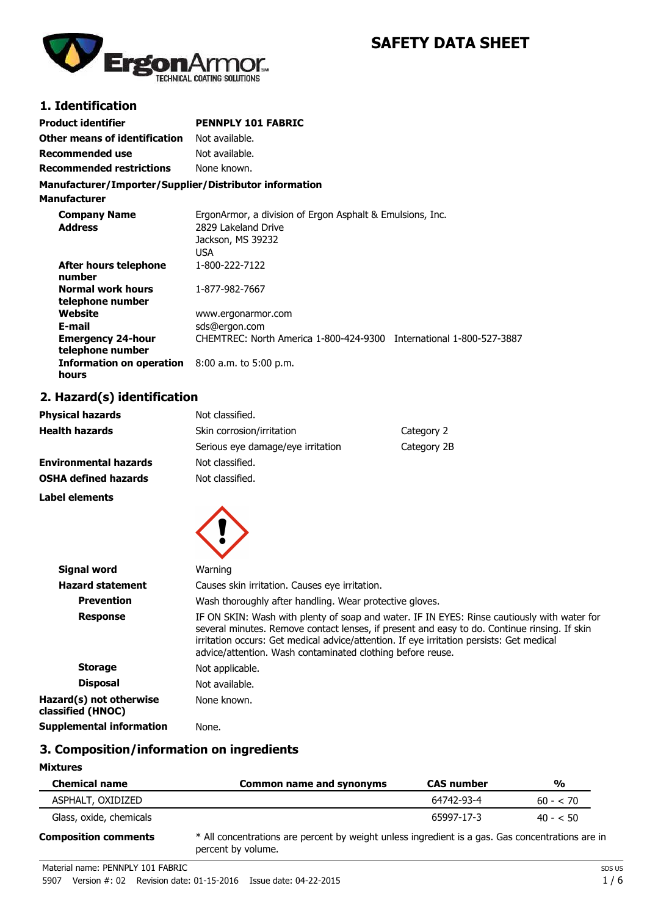

# **SAFETY DATA SHEET**

# **1. Identification**

| <b>Product identifier</b>                              | <b>PENNPLY 101 FABRIC</b>                                 |
|--------------------------------------------------------|-----------------------------------------------------------|
| Other means of identification                          | Not available.                                            |
| <b>Recommended use</b>                                 | Not available.                                            |
| <b>Recommended restrictions</b>                        | None known.                                               |
| Manufacturer/Importer/Supplier/Distributor information |                                                           |
| <b>Manufacturer</b>                                    |                                                           |
| Company Namo                                           | ErgonArmor, a division of Ergon Asphalt & Emulsions, Inc. |

| <b>Company Name</b><br><b>Address</b>        | ErgonArmor, a division of Ergon Asphalt & Emulsions, Inc.<br>2829 Lakeland Drive |                              |
|----------------------------------------------|----------------------------------------------------------------------------------|------------------------------|
|                                              | Jackson, MS 39232                                                                |                              |
|                                              | <b>USA</b>                                                                       |                              |
| After hours telephone<br>number              | 1-800-222-7122                                                                   |                              |
| <b>Normal work hours</b><br>telephone number | 1-877-982-7667                                                                   |                              |
| Website                                      | www.ergonarmor.com                                                               |                              |
| E-mail                                       | sds@ergon.com                                                                    |                              |
| <b>Emergency 24-hour</b><br>telephone number | CHEMTREC: North America 1-800-424-9300                                           | International 1-800-527-3887 |
| Information on operation<br>hours            | $8:00$ a.m. to 5:00 p.m.                                                         |                              |
|                                              |                                                                                  |                              |

# **2. Hazard(s) identification**

| <b>Physical hazards</b>      | Not classified.                         |             |
|------------------------------|-----------------------------------------|-------------|
| <b>Health hazards</b>        | Skin corrosion/irritation<br>Category 2 |             |
|                              | Serious eye damage/eye irritation       | Category 2B |
| <b>Environmental hazards</b> | Not classified.                         |             |
| <b>OSHA defined hazards</b>  | Not classified.                         |             |
|                              |                                         |             |

**Label elements**



| <b>Signal word</b>                           | Warning                                                                                                                                                                                                                                                                                                                                               |
|----------------------------------------------|-------------------------------------------------------------------------------------------------------------------------------------------------------------------------------------------------------------------------------------------------------------------------------------------------------------------------------------------------------|
| <b>Hazard statement</b>                      | Causes skin irritation. Causes eye irritation.                                                                                                                                                                                                                                                                                                        |
| <b>Prevention</b>                            | Wash thoroughly after handling. Wear protective gloves.                                                                                                                                                                                                                                                                                               |
| <b>Response</b>                              | IF ON SKIN: Wash with plenty of soap and water. IF IN EYES: Rinse cautiously with water for<br>several minutes. Remove contact lenses, if present and easy to do. Continue rinsing. If skin<br>irritation occurs: Get medical advice/attention. If eye irritation persists: Get medical<br>advice/attention. Wash contaminated clothing before reuse. |
| <b>Storage</b>                               | Not applicable.                                                                                                                                                                                                                                                                                                                                       |
| <b>Disposal</b>                              | Not available.                                                                                                                                                                                                                                                                                                                                        |
| Hazard(s) not otherwise<br>classified (HNOC) | None known.                                                                                                                                                                                                                                                                                                                                           |
| Supplemental information                     | None.                                                                                                                                                                                                                                                                                                                                                 |
|                                              |                                                                                                                                                                                                                                                                                                                                                       |

# **3. Composition/information on ingredients**

## **Mixtures**

| <b>Chemical name</b>        | <b>Common name and synonyms</b>                                                                                        | <b>CAS number</b> | $\frac{0}{0}$ |
|-----------------------------|------------------------------------------------------------------------------------------------------------------------|-------------------|---------------|
| ASPHALT, OXIDIZED           |                                                                                                                        | 64742-93-4        | $60 - 570$    |
| Glass, oxide, chemicals     |                                                                                                                        | 65997-17-3        | $40 - 50$     |
| <b>Composition comments</b> | * All concentrations are percent by weight unless ingredient is a gas. Gas concentrations are in<br>percent by volume. |                   |               |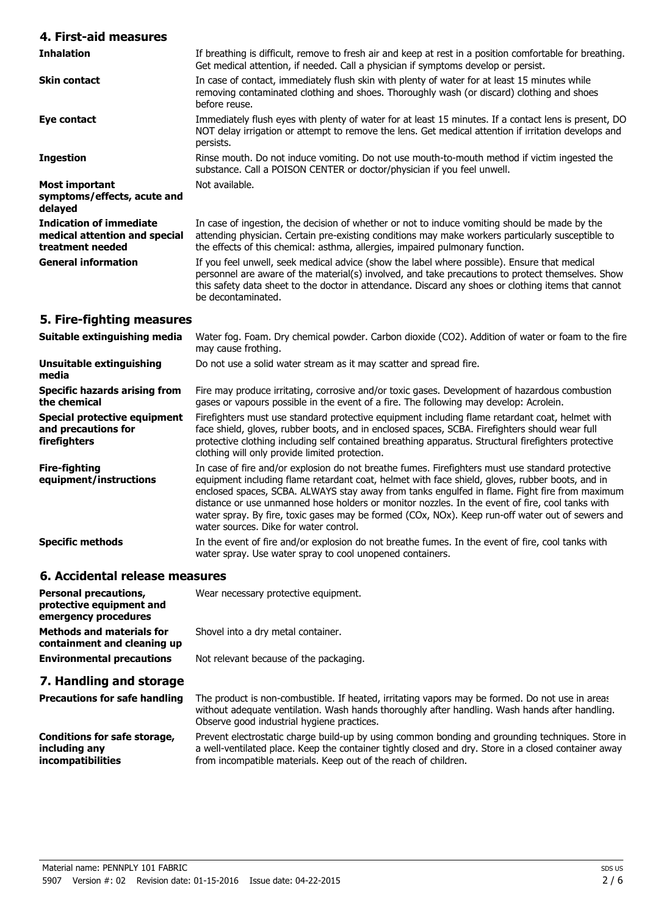# **4. First-aid measures**

| <b>Inhalation</b>                                                                   | If breathing is difficult, remove to fresh air and keep at rest in a position comfortable for breathing.<br>Get medical attention, if needed. Call a physician if symptoms develop or persist.                                                                                                                                 |  |
|-------------------------------------------------------------------------------------|--------------------------------------------------------------------------------------------------------------------------------------------------------------------------------------------------------------------------------------------------------------------------------------------------------------------------------|--|
| <b>Skin contact</b>                                                                 | In case of contact, immediately flush skin with plenty of water for at least 15 minutes while<br>removing contaminated clothing and shoes. Thoroughly wash (or discard) clothing and shoes<br>before reuse.                                                                                                                    |  |
| Eye contact                                                                         | Immediately flush eyes with plenty of water for at least 15 minutes. If a contact lens is present, DO<br>NOT delay irrigation or attempt to remove the lens. Get medical attention if irritation develops and<br>persists.                                                                                                     |  |
| <b>Ingestion</b>                                                                    | Rinse mouth. Do not induce vomiting. Do not use mouth-to-mouth method if victim ingested the<br>substance. Call a POISON CENTER or doctor/physician if you feel unwell.                                                                                                                                                        |  |
| Most important<br>symptoms/effects, acute and<br>delayed                            | Not available.                                                                                                                                                                                                                                                                                                                 |  |
| <b>Indication of immediate</b><br>medical attention and special<br>treatment needed | In case of ingestion, the decision of whether or not to induce vomiting should be made by the<br>attending physician. Certain pre-existing conditions may make workers particularly susceptible to<br>the effects of this chemical: asthma, allergies, impaired pulmonary function.                                            |  |
| <b>General information</b>                                                          | If you feel unwell, seek medical advice (show the label where possible). Ensure that medical<br>personnel are aware of the material(s) involved, and take precautions to protect themselves. Show<br>this safety data sheet to the doctor in attendance. Discard any shoes or clothing items that cannot<br>be decontaminated. |  |

# **5. Fire-fighting measures**

| Suitable extinguishing media                                               | Water fog. Foam. Dry chemical powder. Carbon dioxide (CO2). Addition of water or foam to the fire<br>may cause frothing.                                                                                                                                                                                                                                                                                                                                                                                                                              |
|----------------------------------------------------------------------------|-------------------------------------------------------------------------------------------------------------------------------------------------------------------------------------------------------------------------------------------------------------------------------------------------------------------------------------------------------------------------------------------------------------------------------------------------------------------------------------------------------------------------------------------------------|
| <b>Unsuitable extinguishing</b><br>media                                   | Do not use a solid water stream as it may scatter and spread fire.                                                                                                                                                                                                                                                                                                                                                                                                                                                                                    |
| <b>Specific hazards arising from</b><br>the chemical                       | Fire may produce irritating, corrosive and/or toxic gases. Development of hazardous combustion<br>gases or vapours possible in the event of a fire. The following may develop: Acrolein.                                                                                                                                                                                                                                                                                                                                                              |
| <b>Special protective equipment</b><br>and precautions for<br>firefighters | Firefighters must use standard protective equipment including flame retardant coat, helmet with<br>face shield, gloves, rubber boots, and in enclosed spaces, SCBA. Firefighters should wear full<br>protective clothing including self contained breathing apparatus. Structural firefighters protective<br>clothing will only provide limited protection.                                                                                                                                                                                           |
| <b>Fire-fighting</b><br>equipment/instructions                             | In case of fire and/or explosion do not breathe fumes. Firefighters must use standard protective<br>equipment including flame retardant coat, helmet with face shield, gloves, rubber boots, and in<br>enclosed spaces, SCBA. ALWAYS stay away from tanks engulfed in flame. Fight fire from maximum<br>distance or use unmanned hose holders or monitor nozzles. In the event of fire, cool tanks with<br>water spray. By fire, toxic gases may be formed (COx, NOx). Keep run-off water out of sewers and<br>water sources. Dike for water control. |
| <b>Specific methods</b>                                                    | In the event of fire and/or explosion do not breathe fumes. In the event of fire, cool tanks with<br>water spray. Use water spray to cool unopened containers.                                                                                                                                                                                                                                                                                                                                                                                        |

## **6. Accidental release measures**

| <b>Personal precautions,</b><br>protective equipment and<br>emergency procedures | Wear necessary protective equipment.                                                                                                                                                                                                                                        |
|----------------------------------------------------------------------------------|-----------------------------------------------------------------------------------------------------------------------------------------------------------------------------------------------------------------------------------------------------------------------------|
| <b>Methods and materials for</b><br>containment and cleaning up                  | Shovel into a dry metal container.                                                                                                                                                                                                                                          |
| <b>Environmental precautions</b>                                                 | Not relevant because of the packaging.                                                                                                                                                                                                                                      |
| 7. Handling and storage                                                          |                                                                                                                                                                                                                                                                             |
| <b>Precautions for safe handling</b>                                             | The product is non-combustible. If heated, irritating vapors may be formed. Do not use in areas<br>without adequate ventilation. Wash hands thoroughly after handling. Wash hands after handling.<br>Observe good industrial hygiene practices.                             |
| Conditions for safe storage,<br>including any<br><i>incompatibilities</i>        | Prevent electrostatic charge build-up by using common bonding and grounding techniques. Store in<br>a well-ventilated place. Keep the container tightly closed and dry. Store in a closed container away<br>from incompatible materials. Keep out of the reach of children. |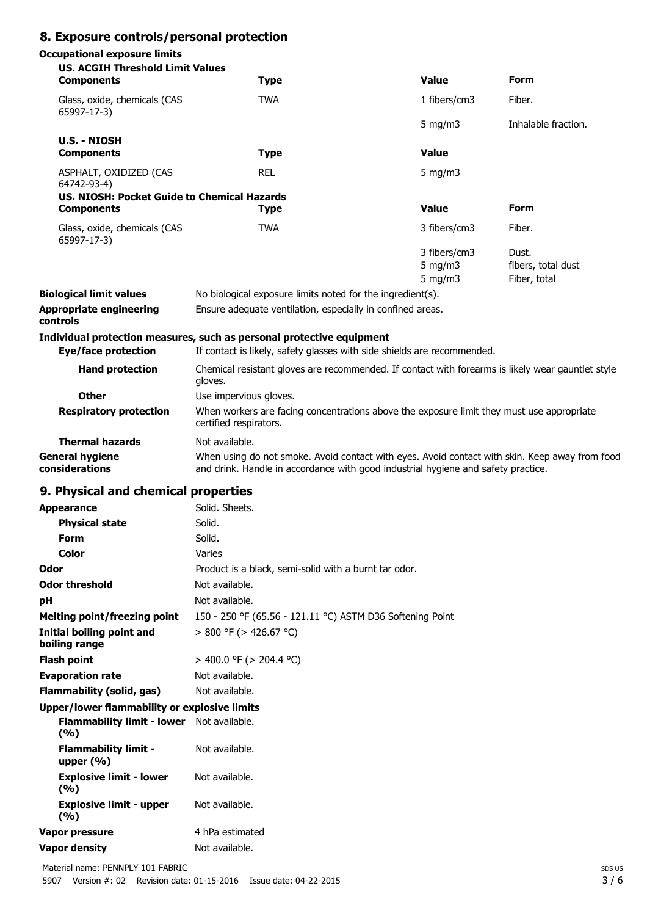# **8. Exposure controls/personal protection**

# **Occupational exposure limits**

| <b>US. ACGIH Threshold Limit Values</b><br><b>Components</b>     | <b>Type</b>                                                                                                                                                                         | <b>Value</b>                             | Form                                        |
|------------------------------------------------------------------|-------------------------------------------------------------------------------------------------------------------------------------------------------------------------------------|------------------------------------------|---------------------------------------------|
| Glass, oxide, chemicals (CAS<br>65997-17-3)                      | <b>TWA</b>                                                                                                                                                                          | 1 fibers/cm3                             | Fiber.                                      |
|                                                                  |                                                                                                                                                                                     | 5 mg/m $3$                               | Inhalable fraction.                         |
| <b>U.S. - NIOSH</b><br><b>Components</b>                         | <b>Type</b>                                                                                                                                                                         | <b>Value</b>                             |                                             |
| ASPHALT, OXIDIZED (CAS<br>64742-93-4)                            | <b>REL</b>                                                                                                                                                                          | $5$ mg/m $3$                             |                                             |
| US. NIOSH: Pocket Guide to Chemical Hazards<br><b>Components</b> | <b>Type</b>                                                                                                                                                                         | <b>Value</b>                             | <b>Form</b>                                 |
| Glass, oxide, chemicals (CAS<br>65997-17-3)                      | <b>TWA</b>                                                                                                                                                                          | 3 fibers/cm3                             | Fiber.                                      |
|                                                                  |                                                                                                                                                                                     | 3 fibers/cm3<br>5 mg/m $3$<br>5 mg/m $3$ | Dust.<br>fibers, total dust<br>Fiber, total |
| <b>Biological limit values</b>                                   | No biological exposure limits noted for the ingredient(s).                                                                                                                          |                                          |                                             |
| Appropriate engineering<br>controls                              | Ensure adequate ventilation, especially in confined areas.                                                                                                                          |                                          |                                             |
|                                                                  | Individual protection measures, such as personal protective equipment                                                                                                               |                                          |                                             |
| <b>Eye/face protection</b>                                       | If contact is likely, safety glasses with side shields are recommended.                                                                                                             |                                          |                                             |
| <b>Hand protection</b>                                           | Chemical resistant gloves are recommended. If contact with forearms is likely wear gauntlet style<br>gloves.                                                                        |                                          |                                             |
| Other                                                            | Use impervious gloves.                                                                                                                                                              |                                          |                                             |
| <b>Respiratory protection</b>                                    | When workers are facing concentrations above the exposure limit they must use appropriate<br>certified respirators.                                                                 |                                          |                                             |
| <b>Thermal hazards</b>                                           | Not available.                                                                                                                                                                      |                                          |                                             |
| <b>General hygiene</b><br>considerations                         | When using do not smoke. Avoid contact with eyes. Avoid contact with skin. Keep away from food<br>and drink. Handle in accordance with good industrial hygiene and safety practice. |                                          |                                             |
| 9. Physical and chemical properties                              |                                                                                                                                                                                     |                                          |                                             |
|                                                                  |                                                                                                                                                                                     |                                          |                                             |
| Appearance                                                       | Solid. Sheets.                                                                                                                                                                      |                                          |                                             |
| <b>Physical state</b>                                            | Solid.<br>Solid.                                                                                                                                                                    |                                          |                                             |
| Form                                                             |                                                                                                                                                                                     |                                          |                                             |
| Color                                                            | Varies                                                                                                                                                                              |                                          |                                             |
| Odor                                                             | Product is a black, semi-solid with a burnt tar odor.                                                                                                                               |                                          |                                             |
| <b>Odor threshold</b>                                            | Not available.                                                                                                                                                                      |                                          |                                             |
| рH                                                               | Not available.                                                                                                                                                                      |                                          |                                             |
| <b>Melting point/freezing point</b>                              | 150 - 250 °F (65.56 - 121.11 °C) ASTM D36 Softening Point                                                                                                                           |                                          |                                             |
| Initial boiling point and<br>boiling range                       | $> 800$ °F ( $> 426.67$ °C)                                                                                                                                                         |                                          |                                             |
| Flash point                                                      | > 400.0 °F (> 204.4 °C)                                                                                                                                                             |                                          |                                             |
| <b>Evaporation rate</b>                                          | Not available.                                                                                                                                                                      |                                          |                                             |
| Flammability (solid, gas)                                        | Not available.                                                                                                                                                                      |                                          |                                             |
| Upper/lower flammability or explosive limits                     |                                                                                                                                                                                     |                                          |                                             |
| Flammability limit - lower Not available.<br>(%)                 |                                                                                                                                                                                     |                                          |                                             |
| <b>Flammability limit -</b><br>upper $(% )$                      | Not available.                                                                                                                                                                      |                                          |                                             |
| <b>Explosive limit - lower</b><br>(%)                            | Not available.                                                                                                                                                                      |                                          |                                             |
| <b>Explosive limit - upper</b><br>(%)                            | Not available.                                                                                                                                                                      |                                          |                                             |
| Vapor pressure                                                   | 4 hPa estimated                                                                                                                                                                     |                                          |                                             |
| <b>Vapor density</b>                                             | Not available.                                                                                                                                                                      |                                          |                                             |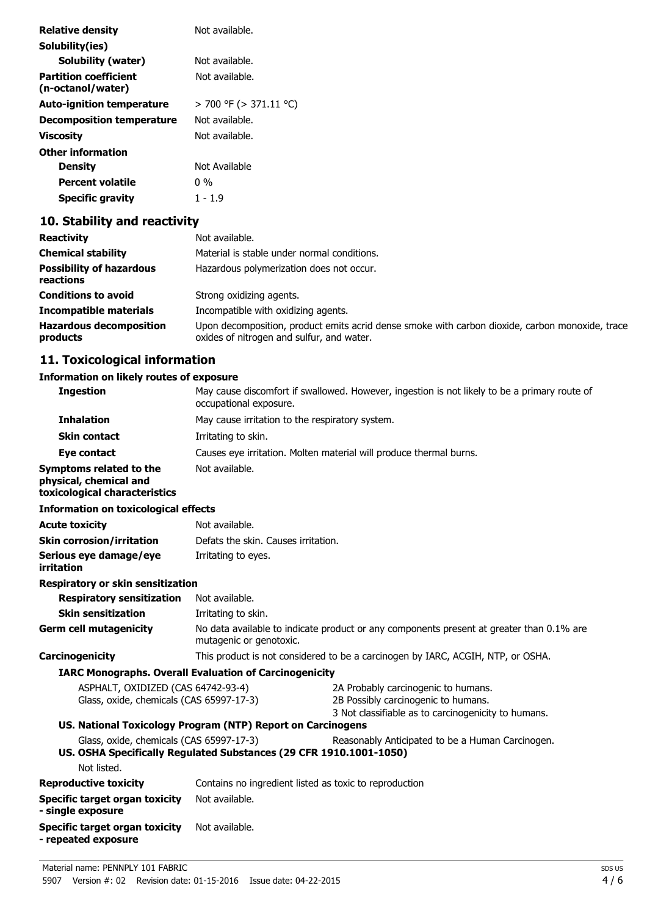| <b>Relative density</b>                           | Not available.         |
|---------------------------------------------------|------------------------|
| Solubility(ies)                                   |                        |
| Solubility (water)                                | Not available.         |
| <b>Partition coefficient</b><br>(n-octanol/water) | Not available.         |
| <b>Auto-ignition temperature</b>                  | > 700 °F (> 371.11 °C) |
| <b>Decomposition temperature</b>                  | Not available.         |
| Viscosity                                         | Not available.         |
| <b>Other information</b>                          |                        |
| <b>Density</b>                                    | Not Available          |
| <b>Percent volatile</b>                           | 0 %                    |
| <b>Specific gravity</b>                           | 1 - 1.9                |

# **10. Stability and reactivity**

| <b>Reactivity</b>                            | Not available.                                                                                                                               |
|----------------------------------------------|----------------------------------------------------------------------------------------------------------------------------------------------|
| <b>Chemical stability</b>                    | Material is stable under normal conditions.                                                                                                  |
| <b>Possibility of hazardous</b><br>reactions | Hazardous polymerization does not occur.                                                                                                     |
| <b>Conditions to avoid</b>                   | Strong oxidizing agents.                                                                                                                     |
| <b>Incompatible materials</b>                | Incompatible with oxidizing agents.                                                                                                          |
| <b>Hazardous decomposition</b><br>products   | Upon decomposition, product emits acrid dense smoke with carbon dioxide, carbon monoxide, trace<br>oxides of nitrogen and sulfur, and water. |

# **11. Toxicological information**

### **Information on likely routes of exposure**

| <b>Ingestion</b><br>May cause discomfort if swallowed. However, ingestion is not likely to be a primary route of<br>occupational exposure.<br><b>Inhalation</b><br>May cause irritation to the respiratory system.<br><b>Skin contact</b><br>Irritating to skin.<br>Causes eye irritation. Molten material will produce thermal burns.<br>Eye contact<br>Not available.<br>Symptoms related to the<br>physical, chemical and<br>toxicological characteristics<br><b>Information on toxicological effects</b><br><b>Acute toxicity</b><br>Not available.<br><b>Skin corrosion/irritation</b><br>Defats the skin. Causes irritation.<br>Serious eye damage/eye<br>Irritating to eyes.<br>irritation<br>Respiratory or skin sensitization<br>Not available.<br><b>Respiratory sensitization</b><br><b>Skin sensitization</b><br>Irritating to skin.<br><b>Germ cell mutagenicity</b><br>No data available to indicate product or any components present at greater than 0.1% are<br>mutagenic or genotoxic.<br>Carcinogenicity<br>This product is not considered to be a carcinogen by IARC, ACGIH, NTP, or OSHA.<br><b>IARC Monographs. Overall Evaluation of Carcinogenicity</b><br>ASPHALT, OXIDIZED (CAS 64742-93-4)<br>2A Probably carcinogenic to humans.<br>Glass, oxide, chemicals (CAS 65997-17-3)<br>2B Possibly carcinogenic to humans.<br>3 Not classifiable as to carcinogenicity to humans.<br>US. National Toxicology Program (NTP) Report on Carcinogens<br>Glass, oxide, chemicals (CAS 65997-17-3)<br>Reasonably Anticipated to be a Human Carcinogen.<br>US. OSHA Specifically Regulated Substances (29 CFR 1910.1001-1050)<br>Not listed.<br><b>Reproductive toxicity</b><br>Contains no ingredient listed as toxic to reproduction<br>Not available.<br><b>Specific target organ toxicity</b><br>- single exposure<br><b>Specific target organ toxicity</b><br>Not available.<br>- repeated exposure | Information on likely routes of exposure |  |  |  |
|------------------------------------------------------------------------------------------------------------------------------------------------------------------------------------------------------------------------------------------------------------------------------------------------------------------------------------------------------------------------------------------------------------------------------------------------------------------------------------------------------------------------------------------------------------------------------------------------------------------------------------------------------------------------------------------------------------------------------------------------------------------------------------------------------------------------------------------------------------------------------------------------------------------------------------------------------------------------------------------------------------------------------------------------------------------------------------------------------------------------------------------------------------------------------------------------------------------------------------------------------------------------------------------------------------------------------------------------------------------------------------------------------------------------------------------------------------------------------------------------------------------------------------------------------------------------------------------------------------------------------------------------------------------------------------------------------------------------------------------------------------------------------------------------------------------------------------------------------------------------------------------------------------------------|------------------------------------------|--|--|--|
|                                                                                                                                                                                                                                                                                                                                                                                                                                                                                                                                                                                                                                                                                                                                                                                                                                                                                                                                                                                                                                                                                                                                                                                                                                                                                                                                                                                                                                                                                                                                                                                                                                                                                                                                                                                                                                                                                                                        |                                          |  |  |  |
|                                                                                                                                                                                                                                                                                                                                                                                                                                                                                                                                                                                                                                                                                                                                                                                                                                                                                                                                                                                                                                                                                                                                                                                                                                                                                                                                                                                                                                                                                                                                                                                                                                                                                                                                                                                                                                                                                                                        |                                          |  |  |  |
|                                                                                                                                                                                                                                                                                                                                                                                                                                                                                                                                                                                                                                                                                                                                                                                                                                                                                                                                                                                                                                                                                                                                                                                                                                                                                                                                                                                                                                                                                                                                                                                                                                                                                                                                                                                                                                                                                                                        |                                          |  |  |  |
|                                                                                                                                                                                                                                                                                                                                                                                                                                                                                                                                                                                                                                                                                                                                                                                                                                                                                                                                                                                                                                                                                                                                                                                                                                                                                                                                                                                                                                                                                                                                                                                                                                                                                                                                                                                                                                                                                                                        |                                          |  |  |  |
|                                                                                                                                                                                                                                                                                                                                                                                                                                                                                                                                                                                                                                                                                                                                                                                                                                                                                                                                                                                                                                                                                                                                                                                                                                                                                                                                                                                                                                                                                                                                                                                                                                                                                                                                                                                                                                                                                                                        |                                          |  |  |  |
|                                                                                                                                                                                                                                                                                                                                                                                                                                                                                                                                                                                                                                                                                                                                                                                                                                                                                                                                                                                                                                                                                                                                                                                                                                                                                                                                                                                                                                                                                                                                                                                                                                                                                                                                                                                                                                                                                                                        |                                          |  |  |  |
|                                                                                                                                                                                                                                                                                                                                                                                                                                                                                                                                                                                                                                                                                                                                                                                                                                                                                                                                                                                                                                                                                                                                                                                                                                                                                                                                                                                                                                                                                                                                                                                                                                                                                                                                                                                                                                                                                                                        |                                          |  |  |  |
|                                                                                                                                                                                                                                                                                                                                                                                                                                                                                                                                                                                                                                                                                                                                                                                                                                                                                                                                                                                                                                                                                                                                                                                                                                                                                                                                                                                                                                                                                                                                                                                                                                                                                                                                                                                                                                                                                                                        |                                          |  |  |  |
|                                                                                                                                                                                                                                                                                                                                                                                                                                                                                                                                                                                                                                                                                                                                                                                                                                                                                                                                                                                                                                                                                                                                                                                                                                                                                                                                                                                                                                                                                                                                                                                                                                                                                                                                                                                                                                                                                                                        |                                          |  |  |  |
|                                                                                                                                                                                                                                                                                                                                                                                                                                                                                                                                                                                                                                                                                                                                                                                                                                                                                                                                                                                                                                                                                                                                                                                                                                                                                                                                                                                                                                                                                                                                                                                                                                                                                                                                                                                                                                                                                                                        |                                          |  |  |  |
|                                                                                                                                                                                                                                                                                                                                                                                                                                                                                                                                                                                                                                                                                                                                                                                                                                                                                                                                                                                                                                                                                                                                                                                                                                                                                                                                                                                                                                                                                                                                                                                                                                                                                                                                                                                                                                                                                                                        |                                          |  |  |  |
|                                                                                                                                                                                                                                                                                                                                                                                                                                                                                                                                                                                                                                                                                                                                                                                                                                                                                                                                                                                                                                                                                                                                                                                                                                                                                                                                                                                                                                                                                                                                                                                                                                                                                                                                                                                                                                                                                                                        |                                          |  |  |  |
|                                                                                                                                                                                                                                                                                                                                                                                                                                                                                                                                                                                                                                                                                                                                                                                                                                                                                                                                                                                                                                                                                                                                                                                                                                                                                                                                                                                                                                                                                                                                                                                                                                                                                                                                                                                                                                                                                                                        |                                          |  |  |  |
|                                                                                                                                                                                                                                                                                                                                                                                                                                                                                                                                                                                                                                                                                                                                                                                                                                                                                                                                                                                                                                                                                                                                                                                                                                                                                                                                                                                                                                                                                                                                                                                                                                                                                                                                                                                                                                                                                                                        |                                          |  |  |  |
|                                                                                                                                                                                                                                                                                                                                                                                                                                                                                                                                                                                                                                                                                                                                                                                                                                                                                                                                                                                                                                                                                                                                                                                                                                                                                                                                                                                                                                                                                                                                                                                                                                                                                                                                                                                                                                                                                                                        |                                          |  |  |  |
|                                                                                                                                                                                                                                                                                                                                                                                                                                                                                                                                                                                                                                                                                                                                                                                                                                                                                                                                                                                                                                                                                                                                                                                                                                                                                                                                                                                                                                                                                                                                                                                                                                                                                                                                                                                                                                                                                                                        |                                          |  |  |  |
|                                                                                                                                                                                                                                                                                                                                                                                                                                                                                                                                                                                                                                                                                                                                                                                                                                                                                                                                                                                                                                                                                                                                                                                                                                                                                                                                                                                                                                                                                                                                                                                                                                                                                                                                                                                                                                                                                                                        |                                          |  |  |  |
|                                                                                                                                                                                                                                                                                                                                                                                                                                                                                                                                                                                                                                                                                                                                                                                                                                                                                                                                                                                                                                                                                                                                                                                                                                                                                                                                                                                                                                                                                                                                                                                                                                                                                                                                                                                                                                                                                                                        |                                          |  |  |  |
|                                                                                                                                                                                                                                                                                                                                                                                                                                                                                                                                                                                                                                                                                                                                                                                                                                                                                                                                                                                                                                                                                                                                                                                                                                                                                                                                                                                                                                                                                                                                                                                                                                                                                                                                                                                                                                                                                                                        |                                          |  |  |  |
|                                                                                                                                                                                                                                                                                                                                                                                                                                                                                                                                                                                                                                                                                                                                                                                                                                                                                                                                                                                                                                                                                                                                                                                                                                                                                                                                                                                                                                                                                                                                                                                                                                                                                                                                                                                                                                                                                                                        |                                          |  |  |  |
|                                                                                                                                                                                                                                                                                                                                                                                                                                                                                                                                                                                                                                                                                                                                                                                                                                                                                                                                                                                                                                                                                                                                                                                                                                                                                                                                                                                                                                                                                                                                                                                                                                                                                                                                                                                                                                                                                                                        |                                          |  |  |  |
|                                                                                                                                                                                                                                                                                                                                                                                                                                                                                                                                                                                                                                                                                                                                                                                                                                                                                                                                                                                                                                                                                                                                                                                                                                                                                                                                                                                                                                                                                                                                                                                                                                                                                                                                                                                                                                                                                                                        |                                          |  |  |  |
|                                                                                                                                                                                                                                                                                                                                                                                                                                                                                                                                                                                                                                                                                                                                                                                                                                                                                                                                                                                                                                                                                                                                                                                                                                                                                                                                                                                                                                                                                                                                                                                                                                                                                                                                                                                                                                                                                                                        |                                          |  |  |  |
|                                                                                                                                                                                                                                                                                                                                                                                                                                                                                                                                                                                                                                                                                                                                                                                                                                                                                                                                                                                                                                                                                                                                                                                                                                                                                                                                                                                                                                                                                                                                                                                                                                                                                                                                                                                                                                                                                                                        |                                          |  |  |  |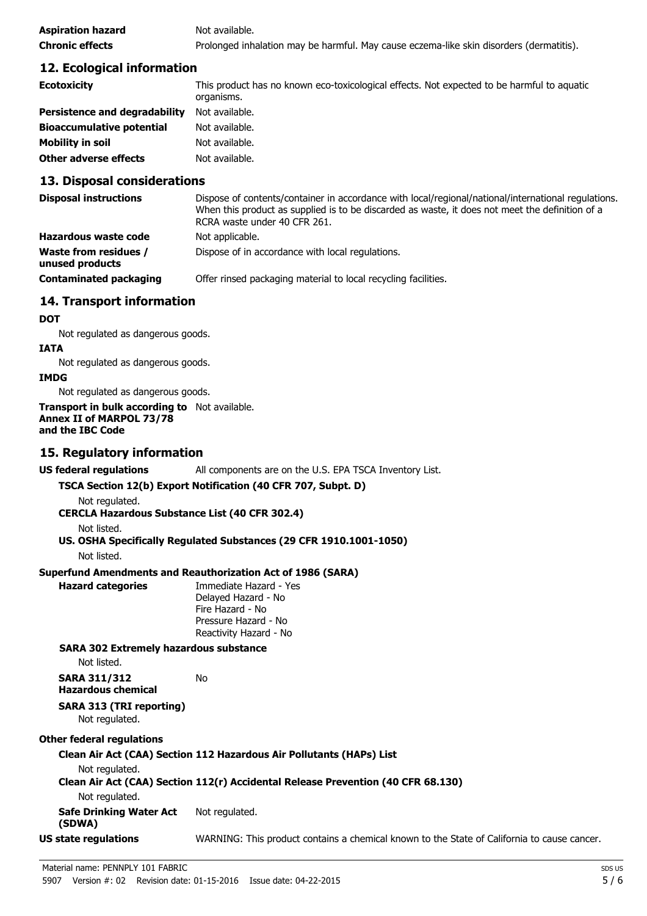| <b>Aspiration hazard</b> | Not available.                                                                          |
|--------------------------|-----------------------------------------------------------------------------------------|
| <b>Chronic effects</b>   | Prolonged inhalation may be harmful. May cause eczema-like skin disorders (dermatitis). |

## **12. Ecological information**

| <b>Ecotoxicity</b>                   | This product has no known eco-toxicological effects. Not expected to be harmful to aquatic<br>organisms. |
|--------------------------------------|----------------------------------------------------------------------------------------------------------|
| <b>Persistence and degradability</b> | Not available.                                                                                           |
| <b>Bioaccumulative potential</b>     | Not available.                                                                                           |
| Mobility in soil                     | Not available.                                                                                           |
| <b>Other adverse effects</b>         | Not available.                                                                                           |

## **13. Disposal considerations**

| <b>Disposal instructions</b>                    | Dispose of contents/container in accordance with local/regional/national/international regulations.<br>When this product as supplied is to be discarded as waste, it does not meet the definition of a<br>RCRA waste under 40 CFR 261. |
|-------------------------------------------------|----------------------------------------------------------------------------------------------------------------------------------------------------------------------------------------------------------------------------------------|
| <b>Hazardous waste code</b>                     | Not applicable.                                                                                                                                                                                                                        |
| <b>Waste from residues /</b><br>unused products | Dispose of in accordance with local regulations.                                                                                                                                                                                       |
| <b>Contaminated packaging</b>                   | Offer rinsed packaging material to local recycling facilities.                                                                                                                                                                         |

## **14. Transport information**

### **DOT**

Not regulated as dangerous goods.

### **IATA**

Not regulated as dangerous goods.

#### **IMDG**

Not regulated as dangerous goods.

#### **Transport in bulk according to** Not available. **Annex II of MARPOL 73/78 and the IBC Code**

# **15. Regulatory information**

**US federal regulations** All components are on the U.S. EPA TSCA Inventory List.

## **TSCA Section 12(b) Export Notification (40 CFR 707, Subpt. D)**

Not regulated.

**CERCLA Hazardous Substance List (40 CFR 302.4)**

Not listed.

## **US. OSHA Specifically Regulated Substances (29 CFR 1910.1001-1050)** Not listed.

## **Superfund Amendments and Reauthorization Act of 1986 (SARA)**

No

**Hazard categories** Immediate Hazard - Yes Delayed Hazard - No Fire Hazard - No Pressure Hazard - No Reactivity Hazard - No

### **SARA 302 Extremely hazardous substance**

Not listed.

| <b>SARA 311/312</b>       |  |
|---------------------------|--|
| <b>Hazardous chemical</b> |  |

## **SARA 313 (TRI reporting)** Not regulated.

## **Other federal regulations**

## **Clean Air Act (CAA) Section 112 Hazardous Air Pollutants (HAPs) List**

Not regulated.

## **Clean Air Act (CAA) Section 112(r) Accidental Release Prevention (40 CFR 68.130)**

Not regulated.

**Safe Drinking Water Act** Not regulated.

### **(SDWA)**

**US state regulations** WARNING: This product contains a chemical known to the State of California to cause cancer.